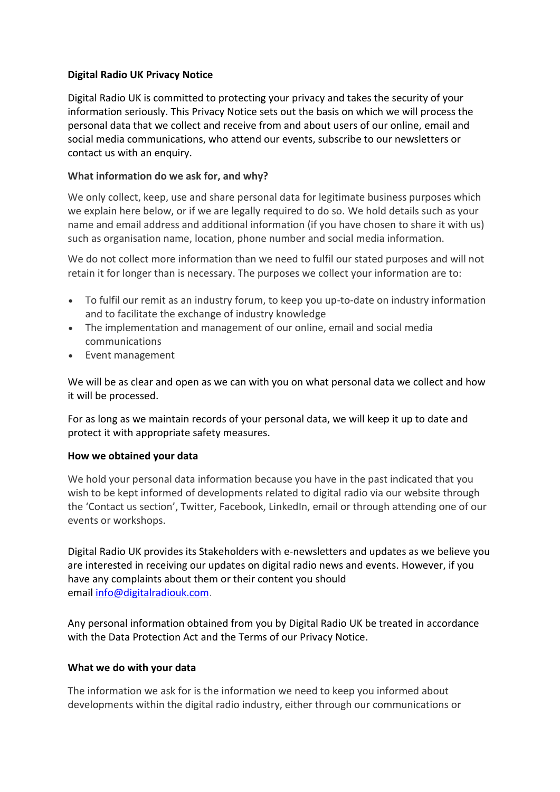# **Digital Radio UK Privacy Notice**

Digital Radio UK is committed to protecting your privacy and takes the security of your information seriously. This Privacy Notice sets out the basis on which we will process the personal data that we collect and receive from and about users of our online, email and social media communications, who attend our events, subscribe to our newsletters or contact us with an enquiry.

## **What information do we ask for, and why?**

We only collect, keep, use and share personal data for legitimate business purposes which we explain here below, or if we are legally required to do so. We hold details such as your name and email address and additional information (if you have chosen to share it with us) such as organisation name, location, phone number and social media information.

We do not collect more information than we need to fulfil our stated purposes and will not retain it for longer than is necessary. The purposes we collect your information are to:

- To fulfil our remit as an industry forum, to keep you up-to-date on industry information and to facilitate the exchange of industry knowledge
- The implementation and management of our online, email and social media communications
- Event management

We will be as clear and open as we can with you on what personal data we collect and how it will be processed.

For as long as we maintain records of your personal data, we will keep it up to date and protect it with appropriate safety measures.

#### **How we obtained your data**

We hold your personal data information because you have in the past indicated that you wish to be kept informed of developments related to digital radio via our website through the 'Contact us section', Twitter, Facebook, LinkedIn, email or through attending one of our events or workshops.

Digital Radio UK provides its Stakeholders with e-newsletters and updates as we believe you are interested in receiving our updates on digital radio news and events. However, if you have any complaints about them or their content you should email [info@digitalradiouk.com.](mailto:info@digitalradiouk.com)

Any personal information obtained from you by Digital Radio UK be treated in accordance with the Data Protection Act and the Terms of our Privacy Notice.

#### **What we do with your data**

The information we ask for is the information we need to keep you informed about developments within the digital radio industry, either through our communications or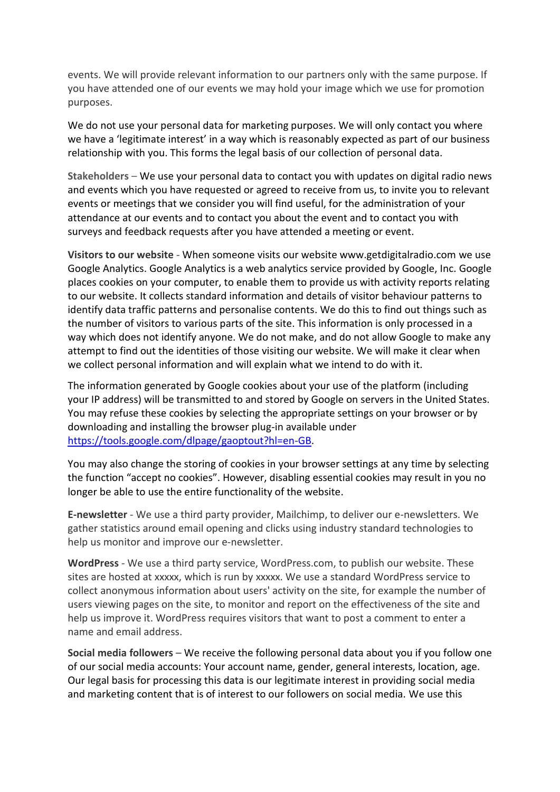events. We will provide relevant information to our partners only with the same purpose. If you have attended one of our events we may hold your image which we use for promotion purposes.

We do not use your personal data for marketing purposes. We will only contact you where we have a 'legitimate interest' in a way which is reasonably expected as part of our business relationship with you. This forms the legal basis of our collection of personal data.

**Stakeholders** – We use your personal data to contact you with updates on digital radio news and events which you have requested or agreed to receive from us, to invite you to relevant events or meetings that we consider you will find useful, for the administration of your attendance at our events and to contact you about the event and to contact you with surveys and feedback requests after you have attended a meeting or event.

**Visitors to our website** - When someone visits our website www.getdigitalradio.com we use Google Analytics. Google Analytics is a web analytics service provided by Google, Inc. Google places cookies on your computer, to enable them to provide us with activity reports relating to our website. It collects standard information and details of visitor behaviour patterns to identify data traffic patterns and personalise contents. We do this to find out things such as the number of visitors to various parts of the site. This information is only processed in a way which does not identify anyone. We do not make, and do not allow Google to make any attempt to find out the identities of those visiting our website. We will make it clear when we collect personal information and will explain what we intend to do with it.

The information generated by Google cookies about your use of the platform (including your IP address) will be transmitted to and stored by Google on servers in the United States. You may refuse these cookies by selecting the appropriate settings on your browser or by downloading and installing the browser plug-in available under [https://tools.google.com/dlpage/gaoptout?hl=en-GB.](https://tools.google.com/dlpage/gaoptout?hl=en-GB)

You may also change the storing of cookies in your browser settings at any time by selecting the function "accept no cookies". However, disabling essential cookies may result in you no longer be able to use the entire functionality of the website.

**E-newsletter** - We use a third party provider, Mailchimp, to deliver our e-newsletters. We gather statistics around email opening and clicks using industry standard technologies to help us monitor and improve our e-newsletter.

**WordPress** - We use a third party service, WordPress.com, to publish our website. These sites are hosted at xxxxx, which is run by xxxxx. We use a standard WordPress service to collect anonymous information about users' activity on the site, for example the number of users viewing pages on the site, to monitor and report on the effectiveness of the site and help us improve it. WordPress requires visitors that want to post a comment to enter a name and email address.

**Social media followers** – We receive the following personal data about you if you follow one of our social media accounts: Your account name, gender, general interests, location, age. Our legal basis for processing this data is our legitimate interest in providing social media and marketing content that is of interest to our followers on social media. We use this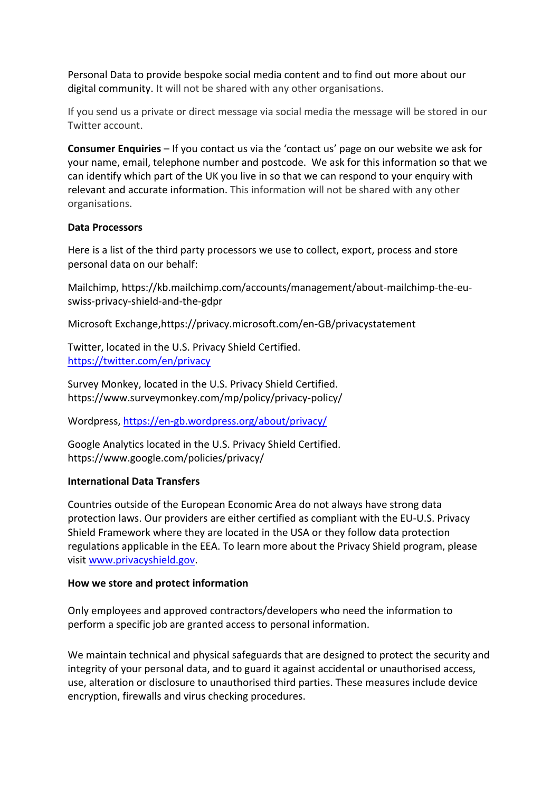Personal Data to provide bespoke social media content and to find out more about our digital community. It will not be shared with any other organisations.

If you send us a private or direct message via social media the message will be stored in our Twitter account.

**Consumer Enquiries** – If you contact us via the 'contact us' page on our website we ask for your name, email, telephone number and postcode. We ask for this information so that we can identify which part of the UK you live in so that we can respond to your enquiry with relevant and accurate information. This information will not be shared with any other organisations.

#### **Data Processors**

Here is a list of the third party processors we use to collect, export, process and store personal data on our behalf:

Mailchimp, https://kb.mailchimp.com/accounts/management/about-mailchimp-the-euswiss-privacy-shield-and-the-gdpr

Microsoft Exchange,https://privacy.microsoft.com/en-GB/privacystatement

Twitter, located in the U.S. Privacy Shield Certified. <https://twitter.com/en/privacy>

Survey Monkey, located in the U.S. Privacy Shield Certified. https://www.surveymonkey.com/mp/policy/privacy-policy/

Wordpress,<https://en-gb.wordpress.org/about/privacy/>

Google Analytics located in the U.S. Privacy Shield Certified. https://www.google.com/policies/privacy/

# **International Data Transfers**

Countries outside of the European Economic Area do not always have strong data protection laws. Our providers are either certified as compliant with the EU-U.S. Privacy Shield Framework where they are located in the USA or they follow data protection regulations applicable in the EEA. To learn more about the Privacy Shield program, please visit [www.privacyshield.gov.](http://www.privacyshield.gov/)

#### **How we store and protect information**

Only employees and approved contractors/developers who need the information to perform a specific job are granted access to personal information.

We maintain technical and physical safeguards that are designed to protect the security and integrity of your personal data, and to guard it against accidental or unauthorised access, use, alteration or disclosure to unauthorised third parties. These measures include device encryption, firewalls and virus checking procedures.